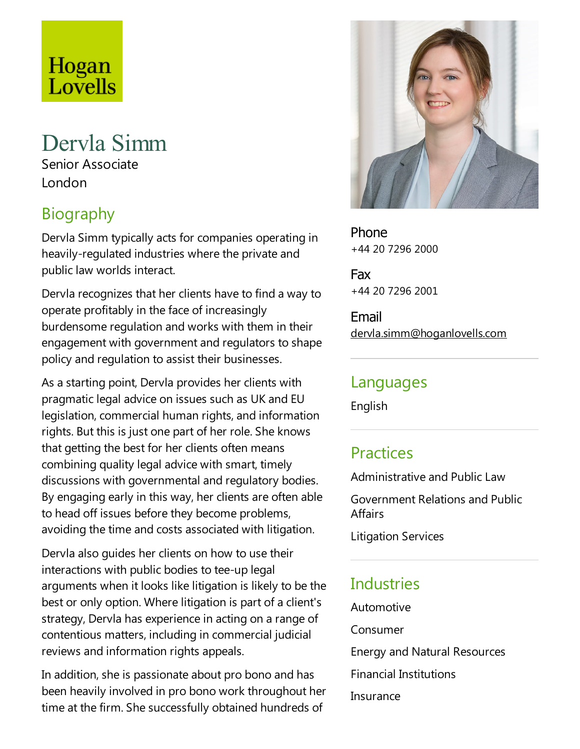# Hogan Lovells

## Dervla Simm

Senior Associate London

### Biography

Dervla Simm typically acts for companies operating in heavily-regulated industries where the private and public law worlds interact.

Dervla recognizes that her clients have to find a way to operate profitably in the face of increasingly burdensome regulation and works with them in their engagement with government and regulators to shape policy and regulation to assist their businesses.

As a starting point, Dervla provides her clients with pragmaticlegal advice on issues such as UK and EU legislation, commercial human rights, and information rights. But this is just one part of her role. She knows that getting the best for her clients often means combining quality legal advice with smart, timely discussions with governmental and regulatory bodies. By engaging early in this way, her clients are often able to head off issues before they become problems, avoiding the time and costs associated with litigation.

Dervla also guides her clients on how to use their interactions with public bodies to tee-up legal arguments when it looks like litigation is likely to be the best or only option. Where litigation is part of a client's strategy, Dervla has experience in acting on a range of contentious matters, including in commercial judicial reviews and information rights appeals.

In addition, she is passionate about pro bono and has been heavily involved in pro bono work throughout her time at the firm. She successfully obtained hundreds of



Phone +44 20 7296 2000

Fax +44 20 7296 2001

Email dervla.simm@hoganlovells.com

#### Languages

English

#### **Practices**

Administrative and Public Law

Government Relations and Public Affairs

Litigation Services

#### **Industries**

Automotive

Consumer

Energy and Natural Resources

Financial Institutions

Insurance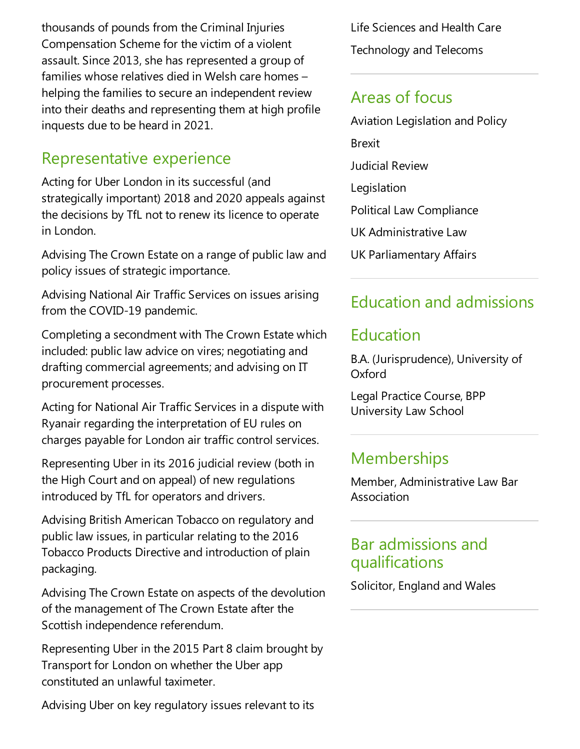thousands of pounds from the Criminal Injuries Compensation Scheme for the victim of a violent assault. Since 2013, she has represented a group of families whose relatives died in Welsh care homes – helping the families to secure an independent review into their deaths and representing them at high profile inquests due to be heard in 2021.

#### Representative experience

Acting for Uber London in its successful (and strategically important) 2018 and 2020 appeals against the decisions by TfL not to renew its licence to operate in London.

Advising The Crown Estate on a range of public law and policy issues of strategic importance.

Advising National Air Traffic Services on issues arising from the COVID-19 pandemic.

Completing asecondment with The Crown Estate which included: public law advice on vires; negotiating and drafting commercial agreements; and advising on IT procurement processes.

Acting for National Air Traffic Services in a dispute with Ryanair regarding the interpretation of EU rules on charges payable for London air traffic control services.

Representing Uber in its 2016 judicial review (both in the High Court and on appeal) of new regulations introduced by TfL for operators and drivers.

Advising British American Tobacco on regulatory and public law issues, in particular relating to the 2016 Tobacco Products Directive and introduction of plain packaging.

Advising The Crown Estate on aspects of the devolution of the management of The Crown Estate after the Scottish independence referendum.

Representing Uber in the 2015 Part 8 claim brought by Transport for London on whether the Uber app constituted an unlawful taximeter.

Advising Uber on key regulatory issues relevant to its

Life Sciences and Health Care Technology and Telecoms

#### Areas of focus

Aviation Legislation and Policy Brexit Judicial Review Legislation Political Law Compliance UK Administrative Law UK Parliamentary Affairs

#### Education and admissions

#### Education

B.A. (Jurisprudence), University of **Oxford** 

Legal Practice Course, BPP University Law School

#### **Memberships**

Member, Administrative Law Bar Association

#### Bar admissions and qualifications

Solicitor, England and Wales